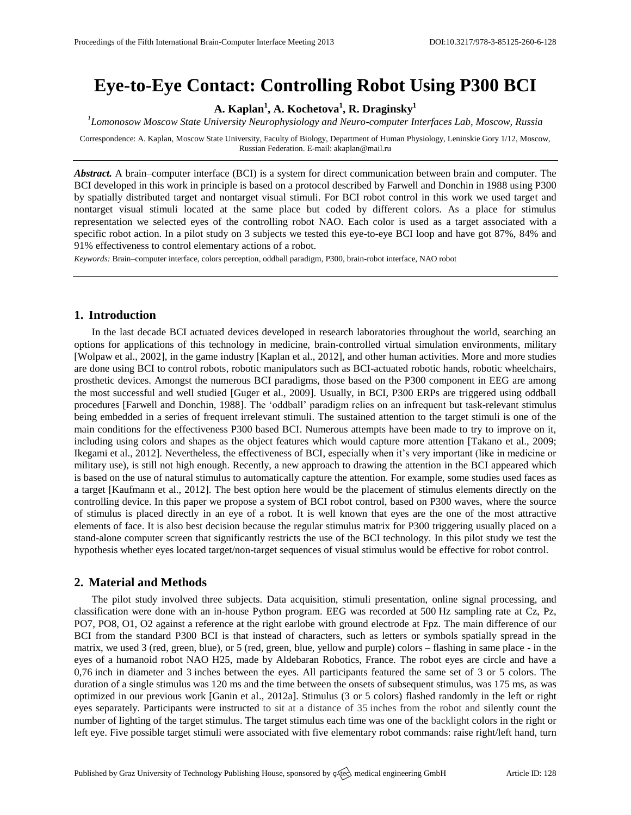# **Eye-to-Eye Contact: Controlling Robot Using P300 BCI**

**A. Kaplan<sup>1</sup> , A. Kochetova<sup>1</sup> , R. Draginsky<sup>1</sup>**

*1 Lomonosow Moscow State University Neurophysiology and Neuro-computer Interfaces Lab, Moscow, Russia*

Correspondence: A. Kaplan, Moscow State University, Faculty of Biology, Department of Human Physiology, Leninskie Gory 1/12, Moscow, Russian Federation. E-mail[: akaplan@mail.ru](mailto:akaplan@mail.ru)

*Abstract.* A brain–computer interface (BCI) is a system for direct communication between brain and computer. The BCI developed in this work in principle is based on a protocol described by Farwell and Donchin in 1988 using P300 by spatially distributed target and nontarget visual stimuli. For BCI robot control in this work we used target and nontarget visual stimuli located at the same place but coded by different colors. As a place for stimulus representation we selected eyes of the controlling robot NAO. Each color is used as a target associated with a specific robot action. In a pilot study on 3 subjects we tested this eye-to-eye BCI loop and have got 87%, 84% and 91% effectiveness to control elementary actions of a robot.

*Keywords:* Brain–computer interface, colors perception, oddball paradigm, P300, brain-robot interface, NAO robot

### **1. Introduction**

In the last decade BCI actuated devices developed in research laboratories throughout the world, searching an options for applications of this technology in medicine, brain-controlled virtual simulation environments, military [Wolpaw et al., 2002], in the game industry [Kaplan et al., 2012], and other human activities. More and more studies are done using BCI to control robots, robotic manipulators such as BCI-actuated robotic hands, robotic wheelchairs, prosthetic devices. Amongst the numerous BCI paradigms, those based on the P300 component in EEG are among the most successful and well studied [Guger et al., 2009]. Usually, in BCI, P300 ERPs are triggered using oddball procedures [Farwell and Donchin, 1988]. The 'oddball' paradigm relies on an infrequent but task-relevant stimulus being embedded in a series of frequent irrelevant stimuli. The sustained attention to the target stimuli is one of the main conditions for the effectiveness P300 based BCI. Numerous attempts have been made to try to improve on it, including using colors and shapes as the object features which would capture more attention [Takano et al., 2009; Ikegami et al., 2012]. Nevertheless, the effectiveness of BCI, especially when it's very important (like in medicine or military use), is still not high enough. Recently, a new approach to drawing the attention in the BCI appeared which is based on the use of natural stimulus to automatically capture the attention. For example, some studies used faces as a target [Kaufmann et al., 2012]. The best option here would be the placement of stimulus elements directly on the controlling device. In this paper we propose a system of BCI robot control, based on P300 waves, where the source of stimulus is placed directly in an eye of a robot. It is well known that eyes are the one of the most attractive elements of face. It is also best decision because the regular stimulus matrix for P300 triggering usually placed on a stand-alone computer screen that significantly restricts the use of the BCI technology. In this pilot study we test the hypothesis whether eyes located target/non-target sequences of visual stimulus would be effective for robot control.

## **2. Material and Methods**

The pilot study involved three subjects. Data acquisition, stimuli presentation, online signal processing, and classification were done with an in-house Python program. EEG was recorded at 500 Hz sampling rate at Cz, Pz, PO7, PO8, O1, O2 against a reference at the right earlobe with ground electrode at Fpz. The main difference of our BCI from the standard P300 BCI is that instead of characters, such as letters or symbols spatially spread in the matrix, we used 3 (red, green, blue), or 5 (red, green, blue, yellow and purple) colors – flashing in same place - in the eyes of a humanoid robot NAO H25, made by Aldebaran Robotics, France. The robot eyes are circle and have a 0,76 inch in diameter and 3 inches between the eyes. All participants featured the same set of 3 or 5 colors. The duration of a single stimulus was 120 ms and the time between the onsets of subsequent stimulus, was 175 ms, as was optimized in our previous work [Ganin et al., 2012a]. Stimulus (3 or 5 colors) flashed randomly in the left or right eyes separately. Participants were instructed to sit at a distance of 35 inches from the robot and silently count the number of lighting of the target stimulus. The target stimulus each time was one of the backlight colors in the right or left eye. Five possible target stimuli were associated with five elementary robot commands: raise right/left hand, turn